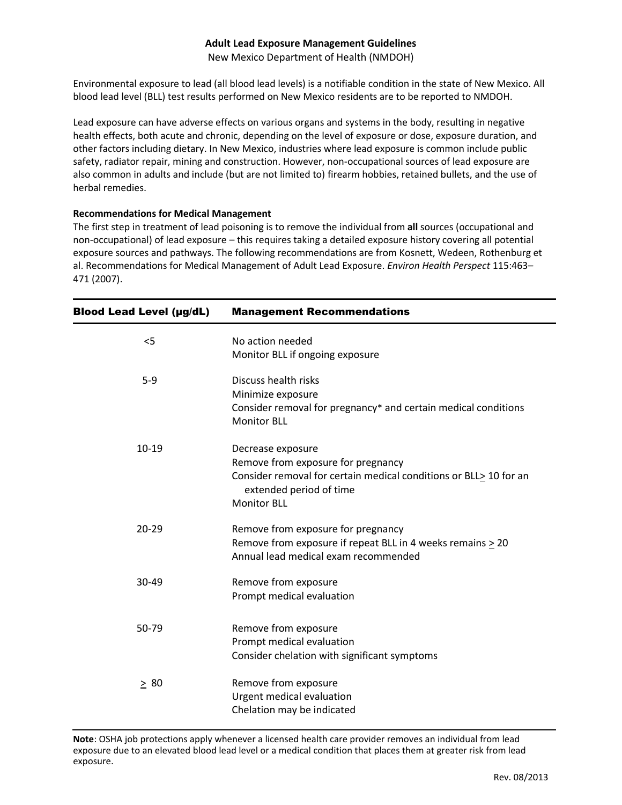## **Adult Lead Exposure Management Guidelines**

New Mexico Department of Health (NMDOH)

Environmental exposure to lead (all blood lead levels) is a notifiable condition in the state of New Mexico. All blood lead level (BLL) test results performed on New Mexico residents are to be reported to NMDOH.

Lead exposure can have adverse effects on various organs and systems in the body, resulting in negative health effects, both acute and chronic, depending on the level of exposure or dose, exposure duration, and other factors including dietary. In New Mexico, industries where lead exposure is common include public safety, radiator repair, mining and construction. However, non-occupational sources of lead exposure are also common in adults and include (but are not limited to) firearm hobbies, retained bullets, and the use of herbal remedies.

## **Recommendations for Medical Management**

The first step in treatment of lead poisoning is to remove the individual from **all** sources (occupational and non-occupational) of lead exposure – this requires taking a detailed exposure history covering all potential exposure sources and pathways. The following recommendations are from Kosnett, Wedeen, Rothenburg et al. Recommendations for Medical Management of Adult Lead Exposure. *Environ Health Perspect* 115:463– 471 (2007).

| <b>Blood Lead Level (µg/dL)</b> | <b>Management Recommendations</b>                                                                                                                                             |
|---------------------------------|-------------------------------------------------------------------------------------------------------------------------------------------------------------------------------|
| $<$ 5                           | No action needed<br>Monitor BLL if ongoing exposure                                                                                                                           |
| $5-9$                           | Discuss health risks<br>Minimize exposure<br>Consider removal for pregnancy* and certain medical conditions<br><b>Monitor BLL</b>                                             |
| 10-19                           | Decrease exposure<br>Remove from exposure for pregnancy<br>Consider removal for certain medical conditions or BLL> 10 for an<br>extended period of time<br><b>Monitor BLL</b> |
| $20 - 29$                       | Remove from exposure for pregnancy<br>Remove from exposure if repeat BLL in 4 weeks remains $\geq 20$<br>Annual lead medical exam recommended                                 |
| 30-49                           | Remove from exposure<br>Prompt medical evaluation                                                                                                                             |
| 50-79                           | Remove from exposure<br>Prompt medical evaluation<br>Consider chelation with significant symptoms                                                                             |
| $\geq 80$                       | Remove from exposure<br>Urgent medical evaluation<br>Chelation may be indicated                                                                                               |